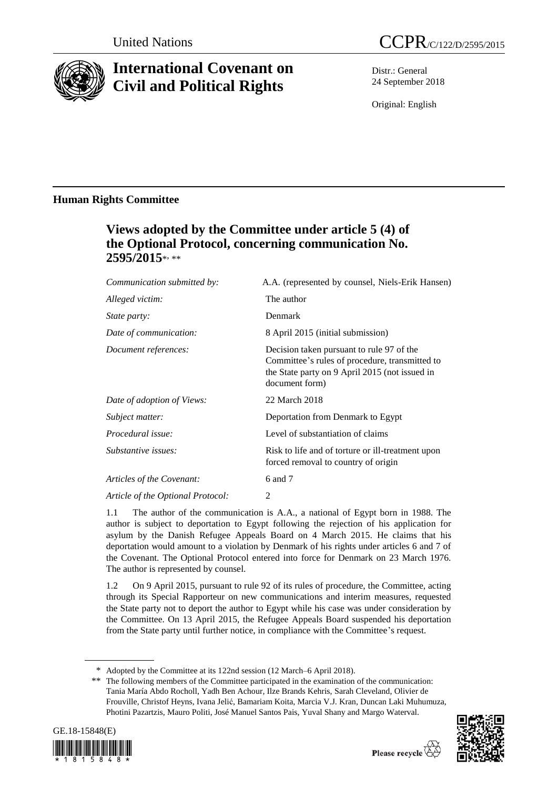

# **International Covenant on Civil and Political Rights**

Distr.: General 24 September 2018

Original: English

### **Human Rights Committee**

## **Views adopted by the Committee under article 5 (4) of the Optional Protocol, concerning communication No. 2595/2015**\* , \*\*

| Communication submitted by:       | A.A. (represented by counsel, Niels-Erik Hansen)                                                                                                                |
|-----------------------------------|-----------------------------------------------------------------------------------------------------------------------------------------------------------------|
| Alleged victim:                   | The author                                                                                                                                                      |
| <i>State party:</i>               | Denmark                                                                                                                                                         |
| Date of communication:            | 8 April 2015 (initial submission)                                                                                                                               |
| Document references:              | Decision taken pursuant to rule 97 of the<br>Committee's rules of procedure, transmitted to<br>the State party on 9 April 2015 (not issued in<br>document form) |
| Date of adoption of Views:        | 22 March 2018                                                                                                                                                   |
| Subject matter:                   | Deportation from Denmark to Egypt                                                                                                                               |
| Procedural issue:                 | Level of substantiation of claims                                                                                                                               |
| Substantive issues:               | Risk to life and of torture or ill-treatment upon<br>forced removal to country of origin                                                                        |
| Articles of the Covenant:         | 6 and 7                                                                                                                                                         |
| Article of the Optional Protocol: | 2                                                                                                                                                               |

1.1 The author of the communication is A.A., a national of Egypt born in 1988. The author is subject to deportation to Egypt following the rejection of his application for asylum by the Danish Refugee Appeals Board on 4 March 2015. He claims that his deportation would amount to a violation by Denmark of his rights under articles 6 and 7 of the Covenant. The Optional Protocol entered into force for Denmark on 23 March 1976. The author is represented by counsel.

1.2 On 9 April 2015, pursuant to rule 92 of its rules of procedure, the Committee, acting through its Special Rapporteur on new communications and interim measures, requested the State party not to deport the author to Egypt while his case was under consideration by the Committee. On 13 April 2015, the Refugee Appeals Board suspended his deportation from the State party until further notice, in compliance with the Committee's request.

<sup>\*\*</sup> The following members of the Committee participated in the examination of the communication: Tania María Abdo Rocholl, Yadh Ben Achour, Ilze Brands Kehris, Sarah Cleveland, Olivier de Frouville, Christof Heyns, Ivana Jelić, Bamariam Koita, Marcia V.J. Kran, Duncan Laki Muhumuza, Photini Pazartzis, Mauro Politi, José Manuel Santos Pais, Yuval Shany and Margo Waterval.





<sup>\*</sup> Adopted by the Committee at its 122nd session (12 March–6 April 2018).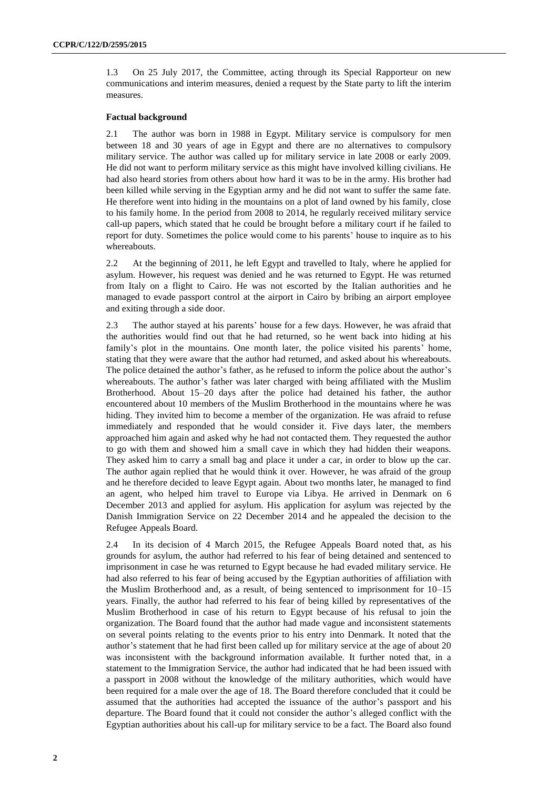1.3 On 25 July 2017, the Committee, acting through its Special Rapporteur on new communications and interim measures, denied a request by the State party to lift the interim measures.

#### **Factual background**

2.1 The author was born in 1988 in Egypt. Military service is compulsory for men between 18 and 30 years of age in Egypt and there are no alternatives to compulsory military service. The author was called up for military service in late 2008 or early 2009. He did not want to perform military service as this might have involved killing civilians. He had also heard stories from others about how hard it was to be in the army. His brother had been killed while serving in the Egyptian army and he did not want to suffer the same fate. He therefore went into hiding in the mountains on a plot of land owned by his family, close to his family home. In the period from 2008 to 2014, he regularly received military service call-up papers, which stated that he could be brought before a military court if he failed to report for duty. Sometimes the police would come to his parents' house to inquire as to his whereabouts.

2.2 At the beginning of 2011, he left Egypt and travelled to Italy, where he applied for asylum. However, his request was denied and he was returned to Egypt. He was returned from Italy on a flight to Cairo. He was not escorted by the Italian authorities and he managed to evade passport control at the airport in Cairo by bribing an airport employee and exiting through a side door.

2.3 The author stayed at his parents' house for a few days. However, he was afraid that the authorities would find out that he had returned, so he went back into hiding at his family's plot in the mountains. One month later, the police visited his parents' home, stating that they were aware that the author had returned, and asked about his whereabouts. The police detained the author's father, as he refused to inform the police about the author's whereabouts. The author's father was later charged with being affiliated with the Muslim Brotherhood. About 15–20 days after the police had detained his father, the author encountered about 10 members of the Muslim Brotherhood in the mountains where he was hiding. They invited him to become a member of the organization. He was afraid to refuse immediately and responded that he would consider it. Five days later, the members approached him again and asked why he had not contacted them. They requested the author to go with them and showed him a small cave in which they had hidden their weapons. They asked him to carry a small bag and place it under a car, in order to blow up the car. The author again replied that he would think it over. However, he was afraid of the group and he therefore decided to leave Egypt again. About two months later, he managed to find an agent, who helped him travel to Europe via Libya. He arrived in Denmark on 6 December 2013 and applied for asylum. His application for asylum was rejected by the Danish Immigration Service on 22 December 2014 and he appealed the decision to the Refugee Appeals Board.

2.4 In its decision of 4 March 2015, the Refugee Appeals Board noted that, as his grounds for asylum, the author had referred to his fear of being detained and sentenced to imprisonment in case he was returned to Egypt because he had evaded military service. He had also referred to his fear of being accused by the Egyptian authorities of affiliation with the Muslim Brotherhood and, as a result, of being sentenced to imprisonment for 10–15 years. Finally, the author had referred to his fear of being killed by representatives of the Muslim Brotherhood in case of his return to Egypt because of his refusal to join the organization. The Board found that the author had made vague and inconsistent statements on several points relating to the events prior to his entry into Denmark. It noted that the author's statement that he had first been called up for military service at the age of about 20 was inconsistent with the background information available. It further noted that, in a statement to the Immigration Service, the author had indicated that he had been issued with a passport in 2008 without the knowledge of the military authorities, which would have been required for a male over the age of 18. The Board therefore concluded that it could be assumed that the authorities had accepted the issuance of the author's passport and his departure. The Board found that it could not consider the author's alleged conflict with the Egyptian authorities about his call-up for military service to be a fact. The Board also found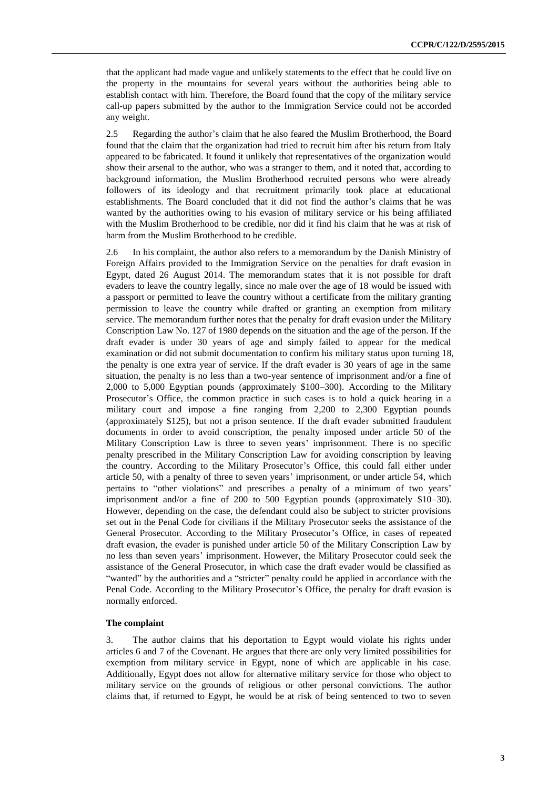that the applicant had made vague and unlikely statements to the effect that he could live on the property in the mountains for several years without the authorities being able to establish contact with him. Therefore, the Board found that the copy of the military service call-up papers submitted by the author to the Immigration Service could not be accorded any weight.

2.5 Regarding the author's claim that he also feared the Muslim Brotherhood, the Board found that the claim that the organization had tried to recruit him after his return from Italy appeared to be fabricated. It found it unlikely that representatives of the organization would show their arsenal to the author, who was a stranger to them, and it noted that, according to background information, the Muslim Brotherhood recruited persons who were already followers of its ideology and that recruitment primarily took place at educational establishments. The Board concluded that it did not find the author's claims that he was wanted by the authorities owing to his evasion of military service or his being affiliated with the Muslim Brotherhood to be credible, nor did it find his claim that he was at risk of harm from the Muslim Brotherhood to be credible.

2.6 In his complaint, the author also refers to a memorandum by the Danish Ministry of Foreign Affairs provided to the Immigration Service on the penalties for draft evasion in Egypt, dated 26 August 2014. The memorandum states that it is not possible for draft evaders to leave the country legally, since no male over the age of 18 would be issued with a passport or permitted to leave the country without a certificate from the military granting permission to leave the country while drafted or granting an exemption from military service. The memorandum further notes that the penalty for draft evasion under the Military Conscription Law No. 127 of 1980 depends on the situation and the age of the person. If the draft evader is under 30 years of age and simply failed to appear for the medical examination or did not submit documentation to confirm his military status upon turning 18, the penalty is one extra year of service. If the draft evader is 30 years of age in the same situation, the penalty is no less than a two-year sentence of imprisonment and/or a fine of 2,000 to 5,000 Egyptian pounds (approximately \$100–300). According to the Military Prosecutor's Office, the common practice in such cases is to hold a quick hearing in a military court and impose a fine ranging from 2,200 to 2,300 Egyptian pounds (approximately \$125), but not a prison sentence. If the draft evader submitted fraudulent documents in order to avoid conscription, the penalty imposed under article 50 of the Military Conscription Law is three to seven years' imprisonment. There is no specific penalty prescribed in the Military Conscription Law for avoiding conscription by leaving the country. According to the Military Prosecutor's Office, this could fall either under article 50, with a penalty of three to seven years' imprisonment, or under article 54, which pertains to "other violations" and prescribes a penalty of a minimum of two years' imprisonment and/or a fine of 200 to 500 Egyptian pounds (approximately \$10–30). However, depending on the case, the defendant could also be subject to stricter provisions set out in the Penal Code for civilians if the Military Prosecutor seeks the assistance of the General Prosecutor. According to the Military Prosecutor's Office, in cases of repeated draft evasion, the evader is punished under article 50 of the Military Conscription Law by no less than seven years' imprisonment. However, the Military Prosecutor could seek the assistance of the General Prosecutor, in which case the draft evader would be classified as "wanted" by the authorities and a "stricter" penalty could be applied in accordance with the Penal Code. According to the Military Prosecutor's Office, the penalty for draft evasion is normally enforced.

#### **The complaint**

3. The author claims that his deportation to Egypt would violate his rights under articles 6 and 7 of the Covenant. He argues that there are only very limited possibilities for exemption from military service in Egypt, none of which are applicable in his case. Additionally, Egypt does not allow for alternative military service for those who object to military service on the grounds of religious or other personal convictions. The author claims that, if returned to Egypt, he would be at risk of being sentenced to two to seven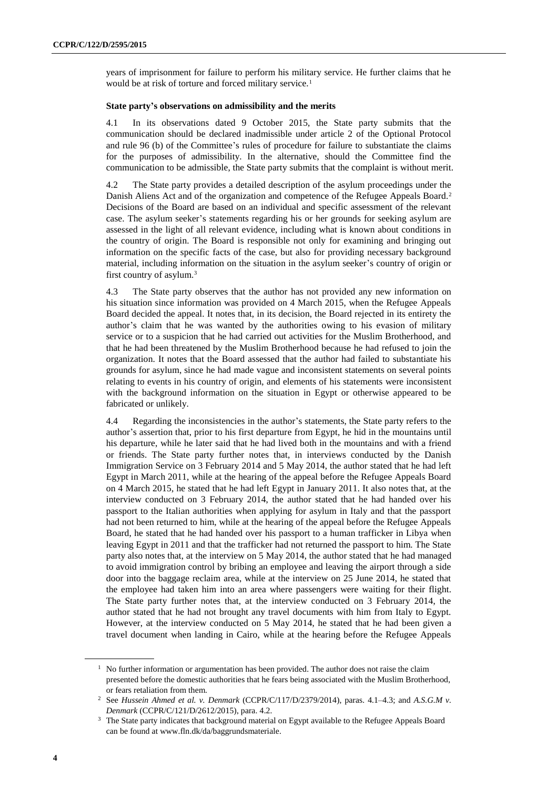years of imprisonment for failure to perform his military service. He further claims that he would be at risk of torture and forced military service.<sup>1</sup>

#### **State party's observations on admissibility and the merits**

4.1 In its observations dated 9 October 2015, the State party submits that the communication should be declared inadmissible under article 2 of the Optional Protocol and rule 96 (b) of the Committee's rules of procedure for failure to substantiate the claims for the purposes of admissibility. In the alternative, should the Committee find the communication to be admissible, the State party submits that the complaint is without merit.

4.2 The State party provides a detailed description of the asylum proceedings under the Danish Aliens Act and of the organization and competence of the Refugee Appeals Board.<sup>2</sup> Decisions of the Board are based on an individual and specific assessment of the relevant case. The asylum seeker's statements regarding his or her grounds for seeking asylum are assessed in the light of all relevant evidence, including what is known about conditions in the country of origin. The Board is responsible not only for examining and bringing out information on the specific facts of the case, but also for providing necessary background material, including information on the situation in the asylum seeker's country of origin or first country of asylum.<sup>3</sup>

4.3 The State party observes that the author has not provided any new information on his situation since information was provided on 4 March 2015, when the Refugee Appeals Board decided the appeal. It notes that, in its decision, the Board rejected in its entirety the author's claim that he was wanted by the authorities owing to his evasion of military service or to a suspicion that he had carried out activities for the Muslim Brotherhood, and that he had been threatened by the Muslim Brotherhood because he had refused to join the organization. It notes that the Board assessed that the author had failed to substantiate his grounds for asylum, since he had made vague and inconsistent statements on several points relating to events in his country of origin, and elements of his statements were inconsistent with the background information on the situation in Egypt or otherwise appeared to be fabricated or unlikely.

4.4 Regarding the inconsistencies in the author's statements, the State party refers to the author's assertion that, prior to his first departure from Egypt, he hid in the mountains until his departure, while he later said that he had lived both in the mountains and with a friend or friends. The State party further notes that, in interviews conducted by the Danish Immigration Service on 3 February 2014 and 5 May 2014, the author stated that he had left Egypt in March 2011, while at the hearing of the appeal before the Refugee Appeals Board on 4 March 2015, he stated that he had left Egypt in January 2011. It also notes that, at the interview conducted on 3 February 2014, the author stated that he had handed over his passport to the Italian authorities when applying for asylum in Italy and that the passport had not been returned to him, while at the hearing of the appeal before the Refugee Appeals Board, he stated that he had handed over his passport to a human trafficker in Libya when leaving Egypt in 2011 and that the trafficker had not returned the passport to him. The State party also notes that, at the interview on 5 May 2014, the author stated that he had managed to avoid immigration control by bribing an employee and leaving the airport through a side door into the baggage reclaim area, while at the interview on 25 June 2014, he stated that the employee had taken him into an area where passengers were waiting for their flight. The State party further notes that, at the interview conducted on 3 February 2014, the author stated that he had not brought any travel documents with him from Italy to Egypt. However, at the interview conducted on 5 May 2014, he stated that he had been given a travel document when landing in Cairo, while at the hearing before the Refugee Appeals

<sup>&</sup>lt;sup>1</sup> No further information or argumentation has been provided. The author does not raise the claim presented before the domestic authorities that he fears being associated with the Muslim Brotherhood, or fears retaliation from them.

<sup>2</sup> See *Hussein Ahmed et al. v. Denmark* (CCPR/C/117/D/2379/2014), paras. 4.1–4.3; and *A.S.G.M v. Denmark* (CCPR/C/121/D/2612/2015), para. 4.2.

<sup>&</sup>lt;sup>3</sup> The State party indicates that background material on Egypt available to the Refugee Appeals Board can be found at www.fln.dk/da/baggrundsmateriale.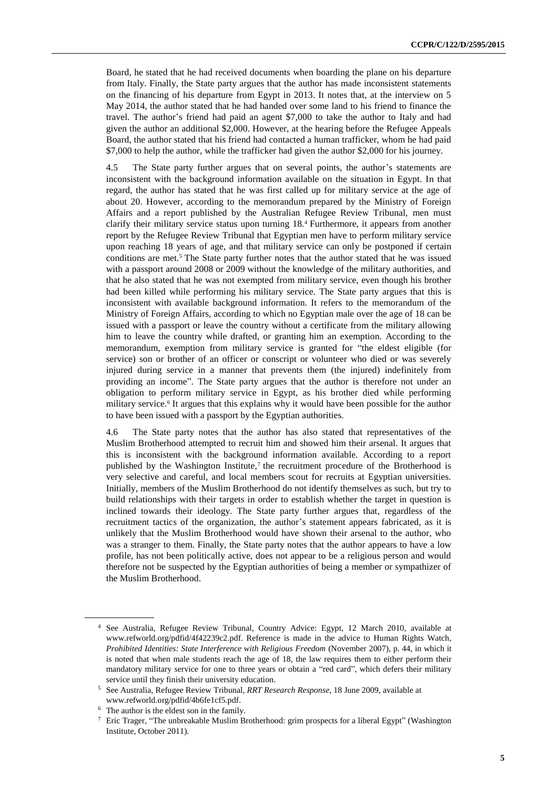Board, he stated that he had received documents when boarding the plane on his departure from Italy. Finally, the State party argues that the author has made inconsistent statements on the financing of his departure from Egypt in 2013. It notes that, at the interview on 5 May 2014, the author stated that he had handed over some land to his friend to finance the travel. The author's friend had paid an agent \$7,000 to take the author to Italy and had given the author an additional \$2,000. However, at the hearing before the Refugee Appeals Board, the author stated that his friend had contacted a human trafficker, whom he had paid \$7,000 to help the author, while the trafficker had given the author \$2,000 for his journey.

4.5 The State party further argues that on several points, the author's statements are inconsistent with the background information available on the situation in Egypt. In that regard, the author has stated that he was first called up for military service at the age of about 20. However, according to the memorandum prepared by the Ministry of Foreign Affairs and a report published by the Australian Refugee Review Tribunal, men must clarify their military service status upon turning 18.<sup>4</sup> Furthermore, it appears from another report by the Refugee Review Tribunal that Egyptian men have to perform military service upon reaching 18 years of age, and that military service can only be postponed if certain conditions are met.<sup>5</sup> The State party further notes that the author stated that he was issued with a passport around 2008 or 2009 without the knowledge of the military authorities, and that he also stated that he was not exempted from military service, even though his brother had been killed while performing his military service. The State party argues that this is inconsistent with available background information. It refers to the memorandum of the Ministry of Foreign Affairs, according to which no Egyptian male over the age of 18 can be issued with a passport or leave the country without a certificate from the military allowing him to leave the country while drafted, or granting him an exemption. According to the memorandum, exemption from military service is granted for "the eldest eligible (for service) son or brother of an officer or conscript or volunteer who died or was severely injured during service in a manner that prevents them (the injured) indefinitely from providing an income". The State party argues that the author is therefore not under an obligation to perform military service in Egypt, as his brother died while performing military service.<sup>6</sup> It argues that this explains why it would have been possible for the author to have been issued with a passport by the Egyptian authorities.

4.6 The State party notes that the author has also stated that representatives of the Muslim Brotherhood attempted to recruit him and showed him their arsenal. It argues that this is inconsistent with the background information available. According to a report published by the Washington Institute, $7$  the recruitment procedure of the Brotherhood is very selective and careful, and local members scout for recruits at Egyptian universities. Initially, members of the Muslim Brotherhood do not identify themselves as such, but try to build relationships with their targets in order to establish whether the target in question is inclined towards their ideology. The State party further argues that, regardless of the recruitment tactics of the organization, the author's statement appears fabricated, as it is unlikely that the Muslim Brotherhood would have shown their arsenal to the author, who was a stranger to them. Finally, the State party notes that the author appears to have a low profile, has not been politically active, does not appear to be a religious person and would therefore not be suspected by the Egyptian authorities of being a member or sympathizer of the Muslim Brotherhood.

<sup>4</sup> See Australia, Refugee Review Tribunal, Country Advice: Egypt, 12 March 2010, available at www.refworld.org/pdfid/4f42239c2.pdf. Reference is made in the advice to Human Rights Watch, *Prohibited Identities: State Interference with Religious Freedom* (November 2007), p. 44, in which it is noted that when male students reach the age of 18, the law requires them to either perform their mandatory military service for one to three years or obtain a "red card", which defers their military service until they finish their university education.

<sup>5</sup> See Australia, Refugee Review Tribunal, *RRT Research Response*, 18 June 2009, available at www.refworld.org/pdfid/4b6fe1cf5.pdf.

<sup>6</sup> The author is the eldest son in the family.

<sup>7</sup> Eric Trager, "The unbreakable Muslim Brotherhood: grim prospects for a liberal Egypt" (Washington Institute, October 2011).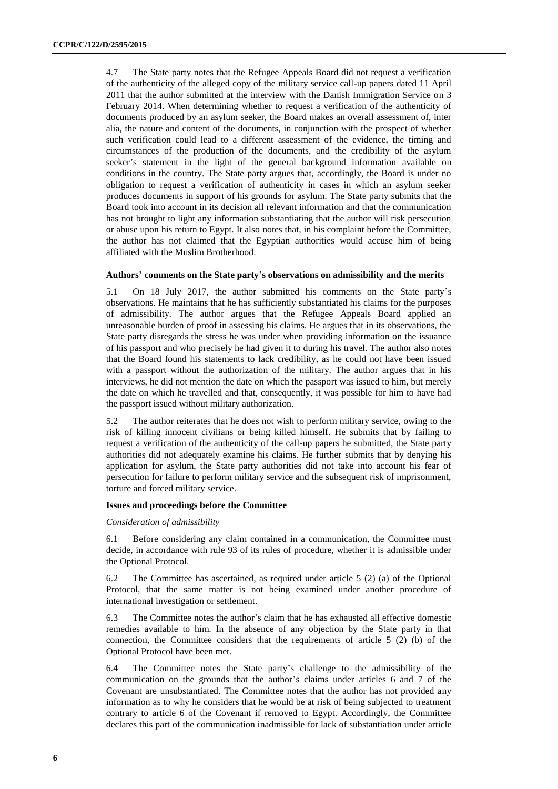4.7 The State party notes that the Refugee Appeals Board did not request a verification of the authenticity of the alleged copy of the military service call-up papers dated 11 April 2011 that the author submitted at the interview with the Danish Immigration Service on 3 February 2014. When determining whether to request a verification of the authenticity of documents produced by an asylum seeker, the Board makes an overall assessment of, inter alia, the nature and content of the documents, in conjunction with the prospect of whether such verification could lead to a different assessment of the evidence, the timing and circumstances of the production of the documents, and the credibility of the asylum seeker's statement in the light of the general background information available on conditions in the country. The State party argues that, accordingly, the Board is under no obligation to request a verification of authenticity in cases in which an asylum seeker produces documents in support of his grounds for asylum. The State party submits that the Board took into account in its decision all relevant information and that the communication has not brought to light any information substantiating that the author will risk persecution or abuse upon his return to Egypt. It also notes that, in his complaint before the Committee, the author has not claimed that the Egyptian authorities would accuse him of being affiliated with the Muslim Brotherhood.

#### **Authors' comments on the State party's observations on admissibility and the merits**

5.1 On 18 July 2017, the author submitted his comments on the State party's observations. He maintains that he has sufficiently substantiated his claims for the purposes of admissibility. The author argues that the Refugee Appeals Board applied an unreasonable burden of proof in assessing his claims. He argues that in its observations, the State party disregards the stress he was under when providing information on the issuance of his passport and who precisely he had given it to during his travel. The author also notes that the Board found his statements to lack credibility, as he could not have been issued with a passport without the authorization of the military. The author argues that in his interviews, he did not mention the date on which the passport was issued to him, but merely the date on which he travelled and that, consequently, it was possible for him to have had the passport issued without military authorization.

5.2 The author reiterates that he does not wish to perform military service, owing to the risk of killing innocent civilians or being killed himself. He submits that by failing to request a verification of the authenticity of the call-up papers he submitted, the State party authorities did not adequately examine his claims. He further submits that by denying his application for asylum, the State party authorities did not take into account his fear of persecution for failure to perform military service and the subsequent risk of imprisonment, torture and forced military service.

#### **Issues and proceedings before the Committee**

#### *Consideration of admissibility*

6.1 Before considering any claim contained in a communication, the Committee must decide, in accordance with rule 93 of its rules of procedure, whether it is admissible under the Optional Protocol.

6.2 The Committee has ascertained, as required under article 5 (2) (a) of the Optional Protocol, that the same matter is not being examined under another procedure of international investigation or settlement.

6.3 The Committee notes the author's claim that he has exhausted all effective domestic remedies available to him. In the absence of any objection by the State party in that connection, the Committee considers that the requirements of article 5 (2) (b) of the Optional Protocol have been met.

6.4 The Committee notes the State party's challenge to the admissibility of the communication on the grounds that the author's claims under articles 6 and 7 of the Covenant are unsubstantiated. The Committee notes that the author has not provided any information as to why he considers that he would be at risk of being subjected to treatment contrary to article 6 of the Covenant if removed to Egypt. Accordingly, the Committee declares this part of the communication inadmissible for lack of substantiation under article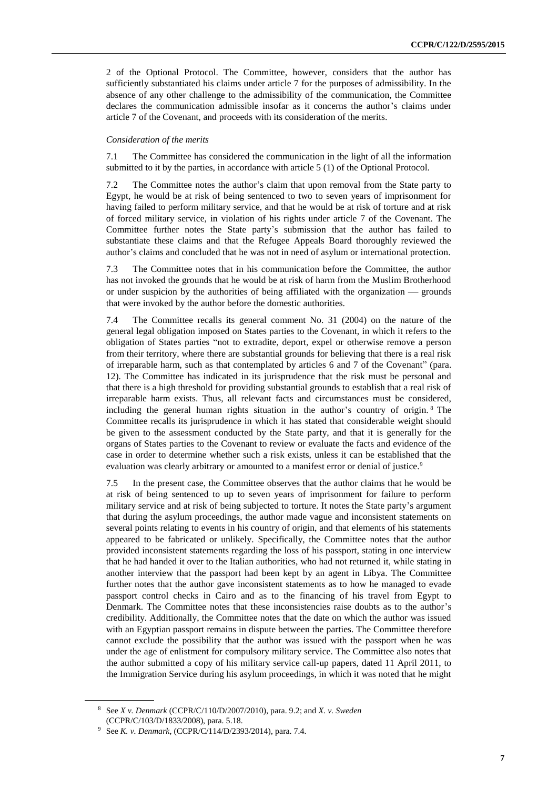2 of the Optional Protocol. The Committee, however, considers that the author has sufficiently substantiated his claims under article 7 for the purposes of admissibility. In the absence of any other challenge to the admissibility of the communication, the Committee declares the communication admissible insofar as it concerns the author's claims under article 7 of the Covenant, and proceeds with its consideration of the merits.

#### *Consideration of the merits*

7.1 The Committee has considered the communication in the light of all the information submitted to it by the parties, in accordance with article 5 (1) of the Optional Protocol.

7.2 The Committee notes the author's claim that upon removal from the State party to Egypt, he would be at risk of being sentenced to two to seven years of imprisonment for having failed to perform military service, and that he would be at risk of torture and at risk of forced military service, in violation of his rights under article 7 of the Covenant. The Committee further notes the State party's submission that the author has failed to substantiate these claims and that the Refugee Appeals Board thoroughly reviewed the author's claims and concluded that he was not in need of asylum or international protection.

7.3 The Committee notes that in his communication before the Committee, the author has not invoked the grounds that he would be at risk of harm from the Muslim Brotherhood or under suspicion by the authorities of being affiliated with the organization - grounds that were invoked by the author before the domestic authorities.

7.4 The Committee recalls its general comment No. 31 (2004) on the nature of the general legal obligation imposed on States parties to the Covenant, in which it refers to the obligation of States parties "not to extradite, deport, expel or otherwise remove a person from their territory, where there are substantial grounds for believing that there is a real risk of irreparable harm, such as that contemplated by articles 6 and 7 of the Covenant" (para. 12). The Committee has indicated in its jurisprudence that the risk must be personal and that there is a high threshold for providing substantial grounds to establish that a real risk of irreparable harm exists. Thus, all relevant facts and circumstances must be considered, including the general human rights situation in the author's country of origin. <sup>8</sup> The Committee recalls its jurisprudence in which it has stated that considerable weight should be given to the assessment conducted by the State party, and that it is generally for the organs of States parties to the Covenant to review or evaluate the facts and evidence of the case in order to determine whether such a risk exists, unless it can be established that the evaluation was clearly arbitrary or amounted to a manifest error or denial of justice.<sup>9</sup>

7.5 In the present case, the Committee observes that the author claims that he would be at risk of being sentenced to up to seven years of imprisonment for failure to perform military service and at risk of being subjected to torture. It notes the State party's argument that during the asylum proceedings, the author made vague and inconsistent statements on several points relating to events in his country of origin, and that elements of his statements appeared to be fabricated or unlikely. Specifically, the Committee notes that the author provided inconsistent statements regarding the loss of his passport, stating in one interview that he had handed it over to the Italian authorities, who had not returned it, while stating in another interview that the passport had been kept by an agent in Libya. The Committee further notes that the author gave inconsistent statements as to how he managed to evade passport control checks in Cairo and as to the financing of his travel from Egypt to Denmark. The Committee notes that these inconsistencies raise doubts as to the author's credibility. Additionally, the Committee notes that the date on which the author was issued with an Egyptian passport remains in dispute between the parties. The Committee therefore cannot exclude the possibility that the author was issued with the passport when he was under the age of enlistment for compulsory military service. The Committee also notes that the author submitted a copy of his military service call-up papers, dated 11 April 2011, to the Immigration Service during his asylum proceedings, in which it was noted that he might

<sup>8</sup> See *X v. Denmark* (CCPR/C/110/D/2007/2010), para. 9.2; and *X. v. Sweden* (CCPR/C/103/D/1833/2008), para. 5.18.

<sup>9</sup> See *K. v. Denmark*, (CCPR/C/114/D/2393/2014), para. 7.4.